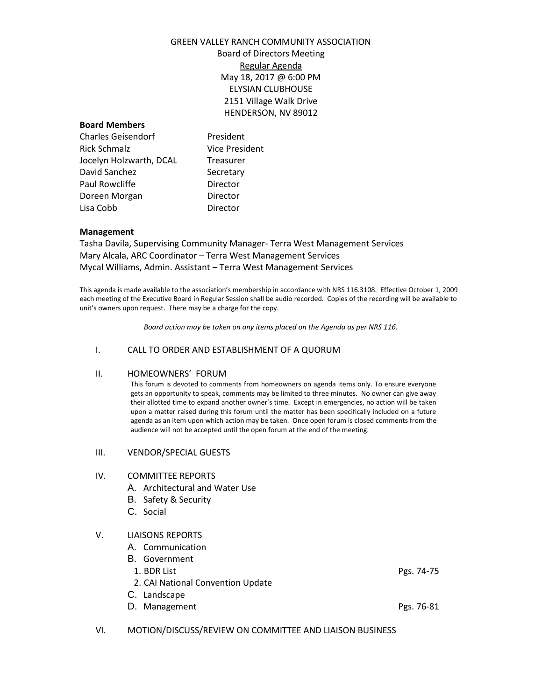## GREEN VALLEY RANCH COMMUNITY ASSOCIATION

Board of Directors Meeting Regular Agenda May 18, 2017 @ 6:00 PM ELYSIAN CLUBHOUSE 2151 Village Walk Drive HENDERSON, NV 89012

#### **Board Members**

Charles Geisendorf President Rick Schmalz Vice President Jocelyn Holzwarth, DCAL Treasurer David Sanchez Secretary Paul Rowcliffe **Director** Doreen Morgan Director Lisa Cobb Director

#### **Management**

Tasha Davila, Supervising Community Manager- Terra West Management Services Mary Alcala, ARC Coordinator – Terra West Management Services Mycal Williams, Admin. Assistant – Terra West Management Services

This agenda is made available to the association's membership in accordance with NRS 116.3108. Effective October 1, 2009 each meeting of the Executive Board in Regular Session shall be audio recorded. Copies of the recording will be available to unit's owners upon request. There may be a charge for the copy.

*Board action may be taken on any items placed on the Agenda as per NRS 116.*

#### I. CALL TO ORDER AND ESTABLISHMENT OF A QUORUM

#### II. HOMEOWNERS' FORUM

This forum is devoted to comments from homeowners on agenda items only. To ensure everyone gets an opportunity to speak, comments may be limited to three minutes. No owner can give away their allotted time to expand another owner's time. Except in emergencies, no action will be taken upon a matter raised during this forum until the matter has been specifically included on a future agenda as an item upon which action may be taken. Once open forum is closed comments from the audience will not be accepted until the open forum at the end of the meeting.

#### III. VENDOR/SPECIAL GUESTS

#### IV. COMMITTEE REPORTS

- A. Architectural and Water Use
- B. Safety & Security
- C. Social

#### V. LIAISONS REPORTS

- A. Communication
- B. Government
- 1. BDR List Pgs. 74-75
- 2. CAI National Convention Update
- C. Landscape
- D. Management Pgs. 76-81

VI. MOTION/DISCUSS/REVIEW ON COMMITTEE AND LIAISON BUSINESS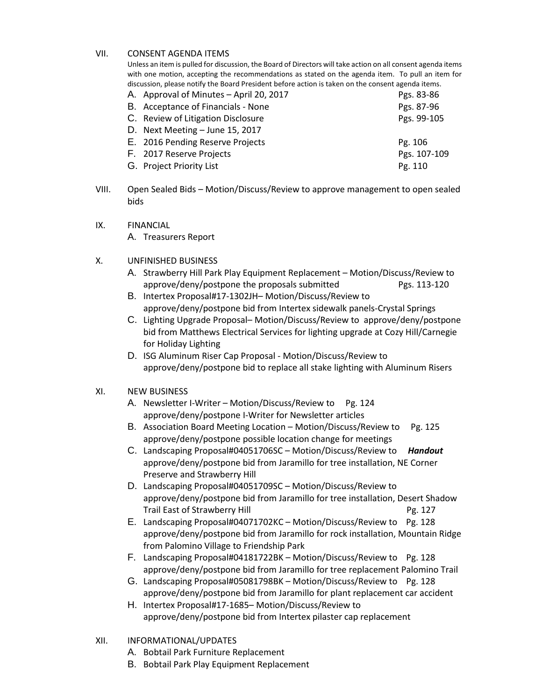### VII. CONSENT AGENDA ITEMS

Unless an item is pulled for discussion, the Board of Directors will take action on all consent agenda items with one motion, accepting the recommendations as stated on the agenda item. To pull an item for discussion, please notify the Board President before action is taken on the consent agenda items.

| A. Approval of Minutes – April 20, 2017 | Pgs. 83-86   |
|-----------------------------------------|--------------|
| B. Acceptance of Financials - None      | Pgs. 87-96   |
| C. Review of Litigation Disclosure      | Pgs. 99-105  |
| D. Next Meeting $-$ June 15, 2017       |              |
| E. 2016 Pending Reserve Projects        | Pg. 106      |
| F. 2017 Reserve Projects                | Pgs. 107-109 |
| G. Project Priority List                | Pg. 110      |
|                                         |              |

- VIII. Open Sealed Bids Motion/Discuss/Review to approve management to open sealed bids
- IX. FINANCIAL A. Treasurers Report
- X. UNFINISHED BUSINESS
	- A. Strawberry Hill Park Play Equipment Replacement Motion/Discuss/Review to approve/deny/postpone the proposals submitted Pgs. 113-120
	- B. Intertex Proposal#17-1302JH– Motion/Discuss/Review to approve/deny/postpone bid from Intertex sidewalk panels-Crystal Springs
	- C. Lighting Upgrade Proposal– Motion/Discuss/Review to approve/deny/postpone bid from Matthews Electrical Services for lighting upgrade at Cozy Hill/Carnegie for Holiday Lighting
	- D. ISG Aluminum Riser Cap Proposal Motion/Discuss/Review to approve/deny/postpone bid to replace all stake lighting with Aluminum Risers

### XI. NEW BUSINESS

- A. Newsletter I-Writer Motion/Discuss/Review to Pg. 124 approve/deny/postpone I-Writer for Newsletter articles
- B. Association Board Meeting Location Motion/Discuss/Review to Pg. 125 approve/deny/postpone possible location change for meetings
- C. Landscaping Proposal#04051706SC Motion/Discuss/Review to *Handout* approve/deny/postpone bid from Jaramillo for tree installation, NE Corner Preserve and Strawberry Hill
- D. Landscaping Proposal#04051709SC Motion/Discuss/Review to approve/deny/postpone bid from Jaramillo for tree installation, Desert Shadow Trail East of Strawberry Hill **Pg. 127** Pg. 127
- E. Landscaping Proposal#04071702KC Motion/Discuss/Review to Pg. 128 approve/deny/postpone bid from Jaramillo for rock installation, Mountain Ridge from Palomino Village to Friendship Park
- F. Landscaping Proposal#04181722BK Motion/Discuss/Review to Pg. 128 approve/deny/postpone bid from Jaramillo for tree replacement Palomino Trail
- G. Landscaping Proposal#05081798BK Motion/Discuss/Review to Pg. 128 approve/deny/postpone bid from Jaramillo for plant replacement car accident
- H. Intertex Proposal#17-1685– Motion/Discuss/Review to approve/deny/postpone bid from Intertex pilaster cap replacement
- XII. INFORMATIONAL/UPDATES
	- A. Bobtail Park Furniture Replacement
	- B. Bobtail Park Play Equipment Replacement